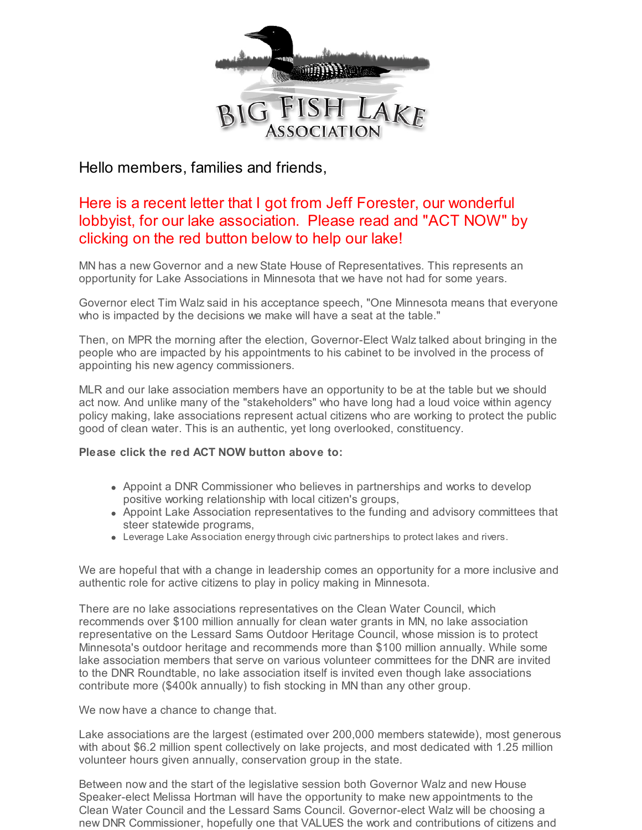

Hello members, families and friends,

# Here is a recent letter that I got from Jeff Forester, our wonderful lobbyist, for our lake association. Please read and "ACT NOW" by clicking on the red button below to help our lake!

MN has a new Governor and a new State House of Representatives. This represents an opportunity for Lake Associations in Minnesota that we have not had for some years.

Governor elect Tim Walz said in his acceptance speech, "One Minnesota means that everyone who is impacted by the decisions we make will have a seat at the table."

Then, on MPR the morning after the election, Governor-Elect Walz talked about bringing in the people who are impacted by his appointments to his cabinet to be involved in the process of appointing his new agency commissioners.

MLR and our lake association members have an opportunity to be at the table but we should act now. And unlike many of the "stakeholders" who have long had a loud voice within agency policy making, lake associations represent actual citizens who are working to protect the public good of clean water. This is an authentic, yet long overlooked, constituency.

### **Please click the red ACT NOW button above to:**

- Appoint a DNR Commissioner who believes in partnerships and works to develop positive working relationship with local citizen's groups,
- Appoint Lake Association representatives to the funding and advisory committees that steer statewide programs,
- Leverage Lake Association energythrough civic partnerships to protect lakes and rivers.

We are hopeful that with a change in leadership comes an opportunity for a more inclusive and authentic role for active citizens to play in policy making in Minnesota.

There are no lake associations representatives on the Clean Water Council, which recommends over \$100 million annually for clean water grants in MN, no lake association representative on the Lessard Sams Outdoor Heritage Council, whose mission is to protect Minnesota's outdoor heritage and recommends more than \$100 million annually. While some lake association members that serve on various volunteer committees for the DNR are invited to the DNR Roundtable, no lake association itself is invited even though lake associations contribute more (\$400k annually) to fish stocking in MN than any other group.

We now have a chance to change that.

Lake associations are the largest (estimated over 200,000 members statewide), most generous with about \$6.2 million spent collectively on lake projects, and most dedicated with 1.25 million volunteer hours given annually, conservation group in the state.

Between now and the start of the legislative session both Governor Walz and new House Speaker-elect Melissa Hortman will have the opportunity to make new appointments to the Clean Water Council and the Lessard Sams Council. Governor-elect Walz will be choosing a new DNR Commissioner, hopefully one that VALUES the work and contributions of citizens and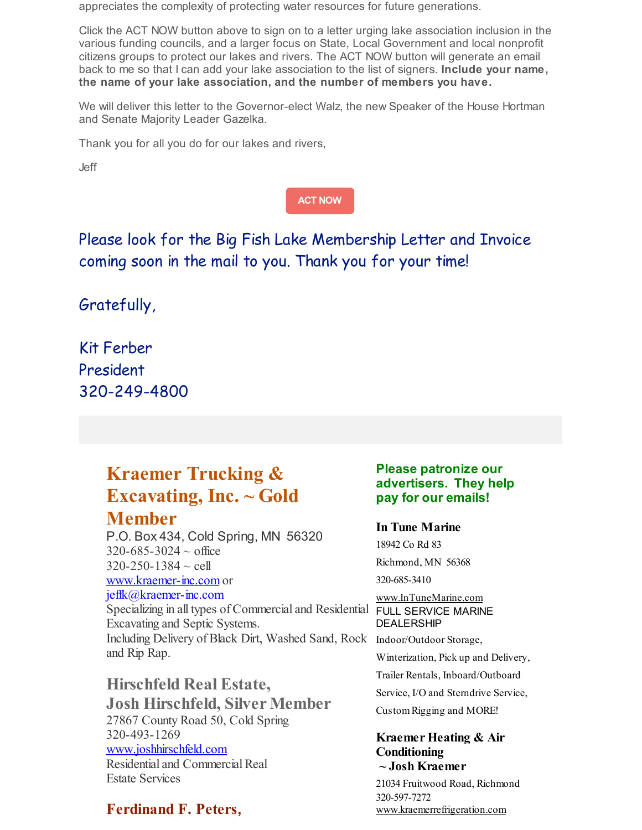appreciates the complexity of protecting water resources for future generations.

Click the ACT NOW button above to sign on to a letter urging lake association inclusion in the various funding councils, and a larger focus on State, Local Government and local nonprofit citizens groups to protect our lakes and rivers. The ACT NOW button will generate an email back to me so that I can add your lake association to the list of signers. **Include your name, the name of your lake association, and the number of members you have.**

We will deliver this letter to the Governor-elect Walz, the new Speaker of the House Hortman and Senate Majority Leader Gazelka.

Thank you for all you do for our lakes and rivers,

Jeff

**ACT [NOW](http://www.congressweb.com/MLRA/36/)**

Please look for the Big Fish Lake Membership Letter and Invoice coming soon in the mail to you. Thank you for your time!

Gratefully,

Kit Ferber President 320-249-4800

and Rip Rap.

# **Kraemer Trucking & Excavating, Inc. ~ Gold Member**

P.O. Box 434, Cold Spring, MN 56320  $320 - 685 - 3024 \sim$  office  $320 - 250 - 1384 \sim$  cell [www.kraemer-inc.com](http://www.kraemer-inc.com) or jeffk@kraemer-inc.com Specializing in all types of Commercial and Residential FULL SERVICE MARINE Excavating and Septic Systems. Including Delivery of Black Dirt, Washed Sand, Rock Indoor/Outdoor Storage,

**Hirschfeld Real Estate, Josh Hirschfeld, Silver Member** 27867 County Road 50, Cold Spring 320-493-1269 [www.joshhirschfeld.com](http://www.joshhirschfeld.com) Residential and Commercial Real Estate Services

## **Ferdinand F. Peters,**

### **Please patronize our advertisers. They help pay for our emails!**

### **In Tune Marine**

18942 Co Rd 83 Richmond, MN 56368 320-685-3410

[www.InTuneMarine.com](http://www.intunemarine.com) DEALERSHIP Winterization, Pick up and Delivery, Trailer Rentals, Inboard/Outboard Service, I/O and Sterndrive Service, CustomRigging and MORE!

#### **Kraemer Heating & Air Conditioning ~ Josh Kraemer**

21034 Fruitwood Road, Richmond 320-597-7272 [www.kraemerrefrigeration.com](http://www.kraemerrefrigeration.com)